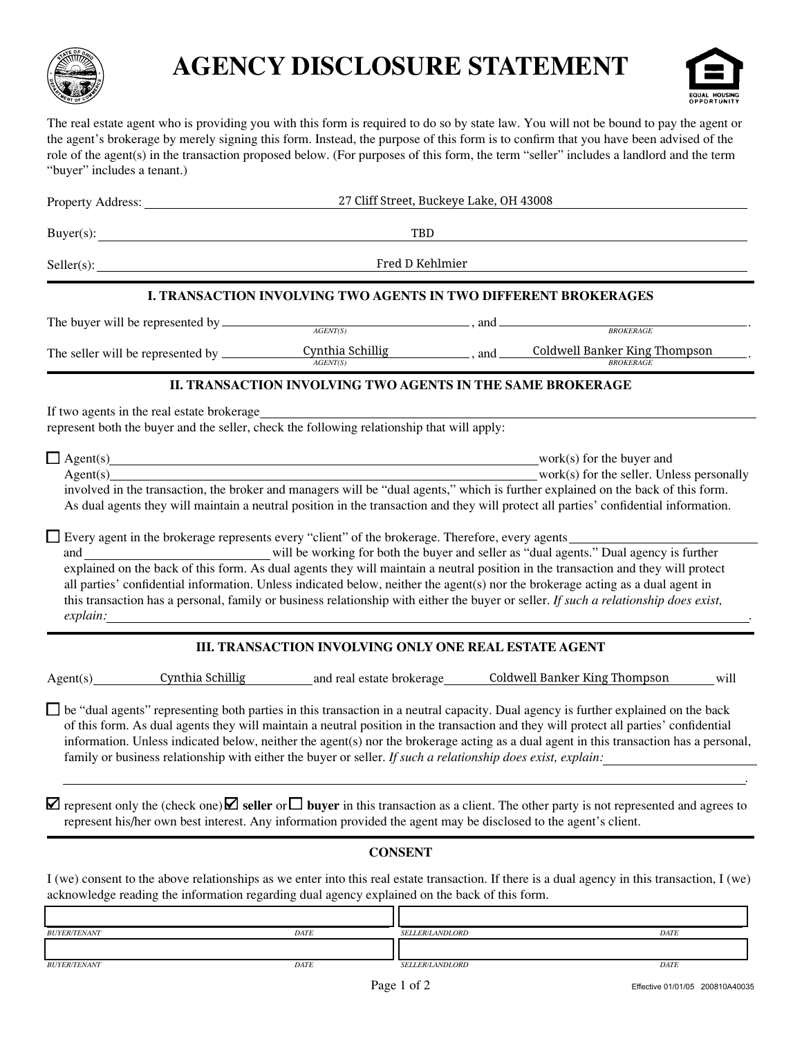

## **AGENCY DISCLOSURE STATEMENT**



The real estate agent who is providing you with this form is required to do so by state law. You will not be bound to pay the agent or the agent's brokerage by merely signing this form. Instead, the purpose of this form is to confirm that you have been advised of the role of the agent(s) in the transaction proposed below. (For purposes of this form, the term "seller" includes a landlord and the term "buyer" includes a tenant.)

|                                                                                                                                                                                                                                                                                                                                                                                                                                                                                                                                              | 27 Cliff Street, Buckeye Lake, OH 43008                                                                                                                                                                                                                            |                               |                                                                                                                                                                                                                                                                                                                                |
|----------------------------------------------------------------------------------------------------------------------------------------------------------------------------------------------------------------------------------------------------------------------------------------------------------------------------------------------------------------------------------------------------------------------------------------------------------------------------------------------------------------------------------------------|--------------------------------------------------------------------------------------------------------------------------------------------------------------------------------------------------------------------------------------------------------------------|-------------------------------|--------------------------------------------------------------------------------------------------------------------------------------------------------------------------------------------------------------------------------------------------------------------------------------------------------------------------------|
|                                                                                                                                                                                                                                                                                                                                                                                                                                                                                                                                              | TBD                                                                                                                                                                                                                                                                |                               |                                                                                                                                                                                                                                                                                                                                |
|                                                                                                                                                                                                                                                                                                                                                                                                                                                                                                                                              | Fred D Kehlmier                                                                                                                                                                                                                                                    |                               |                                                                                                                                                                                                                                                                                                                                |
| <b>I. TRANSACTION INVOLVING TWO AGENTS IN TWO DIFFERENT BROKERAGES</b>                                                                                                                                                                                                                                                                                                                                                                                                                                                                       |                                                                                                                                                                                                                                                                    |                               |                                                                                                                                                                                                                                                                                                                                |
|                                                                                                                                                                                                                                                                                                                                                                                                                                                                                                                                              | The buyer will be represented by $\frac{AGENT(S)}{AGENT(S)}$ , and $\frac{BROKERAGE}{BROKERAGE}$                                                                                                                                                                   |                               |                                                                                                                                                                                                                                                                                                                                |
|                                                                                                                                                                                                                                                                                                                                                                                                                                                                                                                                              | The seller will be represented by $\frac{Cynthia Schillig}{AGENT(S)}$ , and $\frac{Coldwell Banker King Thompson}{BROKERAGE}$                                                                                                                                      |                               |                                                                                                                                                                                                                                                                                                                                |
| II. TRANSACTION INVOLVING TWO AGENTS IN THE SAME BROKERAGE                                                                                                                                                                                                                                                                                                                                                                                                                                                                                   |                                                                                                                                                                                                                                                                    |                               |                                                                                                                                                                                                                                                                                                                                |
| If two agents in the real estate brokerage<br>represent both the buyer and the seller, check the following relationship that will apply:                                                                                                                                                                                                                                                                                                                                                                                                     |                                                                                                                                                                                                                                                                    |                               |                                                                                                                                                                                                                                                                                                                                |
|                                                                                                                                                                                                                                                                                                                                                                                                                                                                                                                                              | $\Box$ Agent(s) work(s) for the buyer and                                                                                                                                                                                                                          |                               | Agent(s) work(s) for the seller. Unless personally<br>involved in the transaction, the broker and managers will be "dual agents," which is further explained on the back of this form.<br>As dual agents they will maintain a neutral position in the transaction and they will protect all parties' confidential information. |
|                                                                                                                                                                                                                                                                                                                                                                                                                                                                                                                                              | □ Every agent in the brokerage represents every "client" of the brokerage. Therefore, every agents<br>all parties' confidential information. Unless indicated below, neither the agent(s) nor the brokerage acting as a dual agent in<br>explain: <u>explained</u> |                               | explained on the back of this form. As dual agents they will maintain a neutral position in the transaction and they will protect<br>this transaction has a personal, family or business relationship with either the buyer or seller. If such a relationship does exist,                                                      |
| <b>III. TRANSACTION INVOLVING ONLY ONE REAL ESTATE AGENT</b>                                                                                                                                                                                                                                                                                                                                                                                                                                                                                 |                                                                                                                                                                                                                                                                    |                               |                                                                                                                                                                                                                                                                                                                                |
| Agent(s)                                                                                                                                                                                                                                                                                                                                                                                                                                                                                                                                     |                                                                                                                                                                                                                                                                    |                               | Cynthia Schillig and real estate brokerage Coldwell Banker King Thompson will                                                                                                                                                                                                                                                  |
| $\Box$ be "dual agents" representing both parties in this transaction in a neutral capacity. Dual agency is further explained on the back<br>of this form. As dual agents they will maintain a neutral position in the transaction and they will protect all parties' confidential<br>information. Unless indicated below, neither the agent(s) nor the brokerage acting as a dual agent in this transaction has a personal,<br>family or business relationship with either the buyer or seller. If such a relationship does exist, explain: |                                                                                                                                                                                                                                                                    |                               |                                                                                                                                                                                                                                                                                                                                |
|                                                                                                                                                                                                                                                                                                                                                                                                                                                                                                                                              | represent his/her own best interest. Any information provided the agent may be disclosed to the agent's client.                                                                                                                                                    |                               | $\blacksquare$ represent only the (check one) $\blacksquare$ seller or $\blacksquare$ buyer in this transaction as a client. The other party is not represented and agrees to                                                                                                                                                  |
| <b>CONSENT</b>                                                                                                                                                                                                                                                                                                                                                                                                                                                                                                                               |                                                                                                                                                                                                                                                                    |                               |                                                                                                                                                                                                                                                                                                                                |
| I (we) consent to the above relationships as we enter into this real estate transaction. If there is a dual agency in this transaction, I (we)<br>acknowledge reading the information regarding dual agency explained on the back of this form.                                                                                                                                                                                                                                                                                              |                                                                                                                                                                                                                                                                    |                               |                                                                                                                                                                                                                                                                                                                                |
|                                                                                                                                                                                                                                                                                                                                                                                                                                                                                                                                              |                                                                                                                                                                                                                                                                    |                               |                                                                                                                                                                                                                                                                                                                                |
| <b>BUYER/TENANT</b>                                                                                                                                                                                                                                                                                                                                                                                                                                                                                                                          | <b>DATE</b>                                                                                                                                                                                                                                                        | <i><b>SELLER/LANDLORD</b></i> | $\mathit{DATE}$                                                                                                                                                                                                                                                                                                                |

*BUYER/TENANT DATE SELLER/LANDLORD DATE*